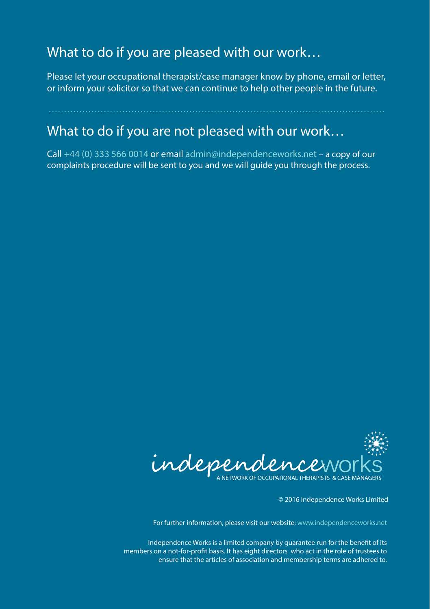## What to do if you are pleased with our work…

Please let your occupational therapist/case manager know by phone, email or letter, or inform your solicitor so that we can continue to help other people in the future.

## What to do if you are not pleased with our work…

Call +44 (0) 333 566 0014 or email admin@independenceworks.net – a copy of our complaints procedure will be sent to you and we will guide you through the process.



© 2016 Independence Works Limited

For further information, please visit our website: www.independenceworks.net

Independence Works is a limited company by guarantee run for the benefit of its members on a not-for-profit basis. It has eight directors who act in the role of trustees to ensure that the articles of association and membership terms are adhered to.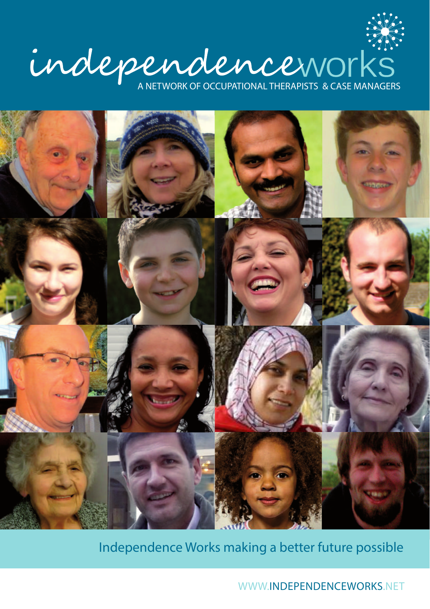



Independence Works making a better future possible

WWW.INDEPENDENCEWORKS.NET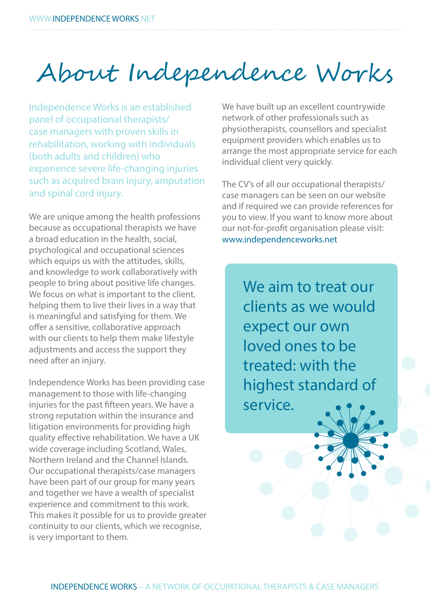## About Independence Works

Independence Works is an established panel of occupational therapists/ case managers with proven skills in rehabilitation, working with individuals (both adults and children) who experience severe life-changing injuries such as acquired brain injury, amputation and spinal cord injury.

We are unique among the health professions because as occupational therapists we have a broad education in the health, social, psychological and occupational sciences which equips us with the attitudes, skills, and knowledge to work collaboratively with people to bring about positive life changes. We focus on what is important to the client, helping them to live their lives in a way that is meaningful and satisfying for them. We offer a sensitive, collaborative approach with our clients to help them make lifestyle adjustments and access the support they need after an injury.

Independence Works has been providing case management to those with life-changing injuries for the past fifteen years. We have a strong reputation within the insurance and litigation environments for providing high quality effective rehabilitation. We have a UK wide coverage including Scotland, Wales, Northern Ireland and the Channel Islands. Our occupational therapists/case managers have been part of our group for many years and together we have a wealth of specialist experience and commitment to this work. This makes it possible for us to provide greater continuity to our clients, which we recognise, is very important to them.

We have built up an excellent countrywide network of other professionals such as physiotherapists, counsellors and specialist equipment providers which enables us to arrange the most appropriate service for each individual client very quickly.

The CV's of all our occupational therapists/ case managers can be seen on our website and if required we can provide references for you to view. If you want to know more about our not-for-profit organisation please visit: www.independenceworks.net

> We aim to treat our clients as we would expect our own loved ones to be treated: with the highest standard of service.